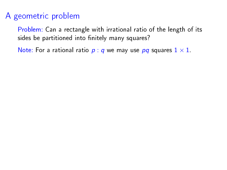## A geometric problem

Problem: Can a rectangle with irrational ratio of the length of its sides be partitioned into finitely many squares?

Note: For a rational ratio  $p: q$  we may use  $pq$  squares  $1 \times 1$ .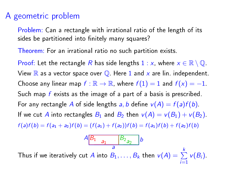## A geometric problem

Problem: Can a rectangle with irrational ratio of the length of its sides be partitioned into finitely many squares?

Theorem: For an irrational ratio no such partition exists.

Proof: Let the rectangle R has side lengths  $1 : x$ , where  $x \in \mathbb{R} \setminus \mathbb{Q}$ . View  $\mathbb R$  as a vector space over  $\mathbb Q$ . Here 1 and x are lin. independent. Choose any linear map  $f : \mathbb{R} \to \mathbb{R}$ , where  $f(1) = 1$  and  $f(x) = -1$ . Such map  $f$  exists as the image of a part of a basis is prescribed. For any rectangle A of side lengths a, b define  $v(A) = f(a)f(b)$ . If we cut A into rectangles  $B_1$  and  $B_2$  then  $v(A) = v(B_1) + v(B_2)$ .  $f(a)f(b) = f(a_1 + a_2)f(b) = (f(a_1) + f(a_2))f(b) = f(a_1)f(b) + f(a_2)f(b)$ 

$$
A\begin{array}{ccc}\nB_1 & B_2 \\
a & a\n\end{array}\n\Big| B_2\Big|_{a}
$$

Thus if we iteratively cut  $A$  into  $B_1,\ldots,B_k$  then  $\mathcal{v}(A)=\sum\limits_{k=1}^k\mathcal{v}(A_k)$  $\sum_{i=1}$  $v(B_i)$ .